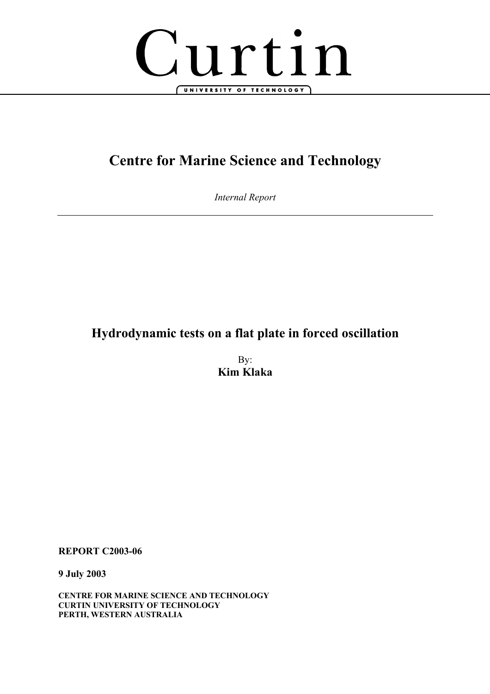

# **Centre for Marine Science and Technology**

*Internal Report* 

# **Hydrodynamic tests on a flat plate in forced oscillation**

By: **Kim Klaka** 

**REPORT C2003-06** 

**9 July 2003** 

**CENTRE FOR MARINE SCIENCE AND TECHNOLOGY CURTIN UNIVERSITY OF TECHNOLOGY PERTH, WESTERN AUSTRALIA**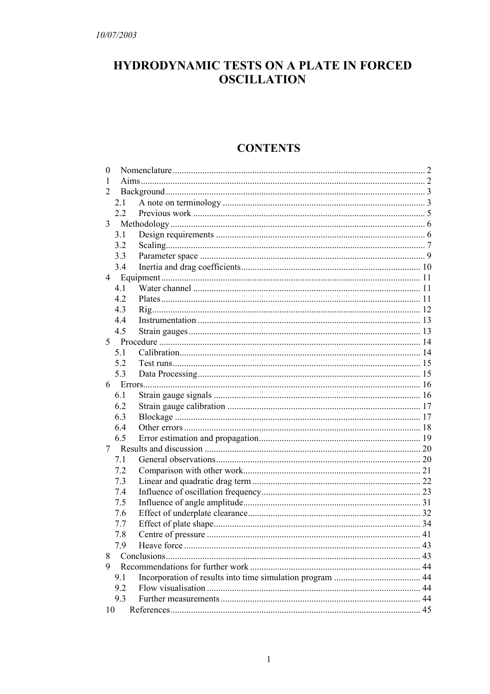# HYDRODYNAMIC TESTS ON A PLATE IN FORCED **OSCILLATION**

# **CONTENTS**

| $\theta$ |     |  |  |  |  |
|----------|-----|--|--|--|--|
| 1        |     |  |  |  |  |
| 2        |     |  |  |  |  |
|          | 2.1 |  |  |  |  |
|          | 2.2 |  |  |  |  |
|          |     |  |  |  |  |
|          | 3.1 |  |  |  |  |
|          | 3.2 |  |  |  |  |
|          | 3.3 |  |  |  |  |
|          | 3.4 |  |  |  |  |
|          |     |  |  |  |  |
|          | 4.1 |  |  |  |  |
|          | 4.2 |  |  |  |  |
|          | 4.3 |  |  |  |  |
|          | 4.4 |  |  |  |  |
|          | 4.5 |  |  |  |  |
|          |     |  |  |  |  |
|          | 5.1 |  |  |  |  |
|          | 5.2 |  |  |  |  |
|          | 5.3 |  |  |  |  |
|          |     |  |  |  |  |
|          | 6.1 |  |  |  |  |
|          | 6.2 |  |  |  |  |
|          | 6.3 |  |  |  |  |
|          | 6.4 |  |  |  |  |
|          | 6.5 |  |  |  |  |
|          |     |  |  |  |  |
|          | 7.1 |  |  |  |  |
|          | 7.2 |  |  |  |  |
|          | 7.3 |  |  |  |  |
|          | 7.4 |  |  |  |  |
|          | 7.5 |  |  |  |  |
|          | 7.6 |  |  |  |  |
|          | 7.7 |  |  |  |  |
|          | 7.8 |  |  |  |  |
|          | 7.9 |  |  |  |  |
| 8        |     |  |  |  |  |
| 9        |     |  |  |  |  |
|          | 9.1 |  |  |  |  |
|          | 9.2 |  |  |  |  |
|          | 9.3 |  |  |  |  |
| 10       |     |  |  |  |  |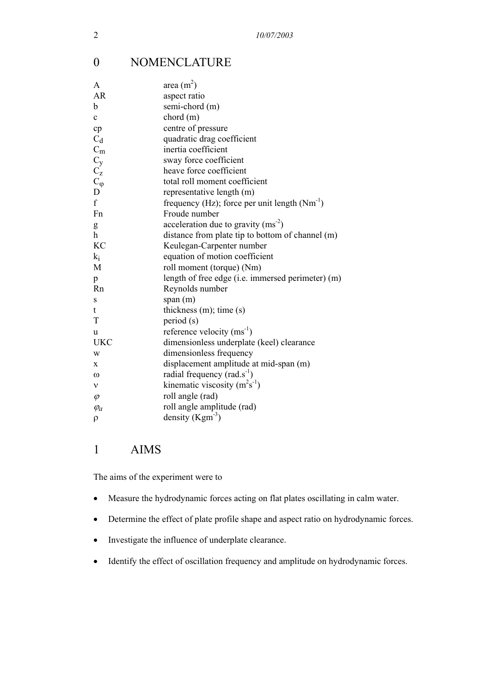# 0 NOMENCLATURE

| A                                                        | area $(m^2)$                                      |
|----------------------------------------------------------|---------------------------------------------------|
| <b>AR</b>                                                | aspect ratio                                      |
| b                                                        | semi-chord (m)                                    |
| $\mathbf{c}$                                             | chord(m)                                          |
| cp                                                       | centre of pressure                                |
| $\mathrm{C}_d$                                           | quadratic drag coefficient                        |
| $C_{\rm m}$                                              | inertia coefficient                               |
| $\begin{array}{c} C_y \\ C_z \\ C_\phi \\ D \end{array}$ | sway force coefficient                            |
|                                                          | heave force coefficient                           |
|                                                          | total roll moment coefficient                     |
|                                                          | representative length (m)                         |
| $\mathbf{f}$                                             | frequency (Hz); force per unit length $(Nm^{-1})$ |
| Fn                                                       | Froude number                                     |
| g                                                        | acceleration due to gravity $(ms^2)$              |
| $\mathbf{h}$                                             | distance from plate tip to bottom of channel (m)  |
| <b>KC</b>                                                | Keulegan-Carpenter number                         |
| $k_i$                                                    | equation of motion coefficient                    |
| M                                                        | roll moment (torque) (Nm)                         |
| p                                                        | length of free edge (i.e. immersed perimeter) (m) |
| Rn                                                       | Reynolds number                                   |
| S                                                        | span (m)                                          |
| t                                                        | thickness $(m)$ ; time $(s)$                      |
| T                                                        | period (s)                                        |
| u                                                        | reference velocity $(ms^{-1})$                    |
| <b>UKC</b>                                               | dimensionless underplate (keel) clearance         |
| W                                                        | dimensionless frequency                           |
| X                                                        | displacement amplitude at mid-span (m)            |
| $\omega$                                                 | radial frequency $(rad.s^{-1})$                   |
| $\mathbf{v}$                                             | kinematic viscosity $(m2s-1)$                     |
| $\varphi$                                                | roll angle (rad)                                  |
| $\varphi_a$                                              | roll angle amplitude (rad)                        |
| $\rho$                                                   | density $(Kgm-3)$                                 |

# 1 AIMS

The aims of the experiment were to

- Measure the hydrodynamic forces acting on flat plates oscillating in calm water.
- Determine the effect of plate profile shape and aspect ratio on hydrodynamic forces.
- Investigate the influence of underplate clearance.
- Identify the effect of oscillation frequency and amplitude on hydrodynamic forces.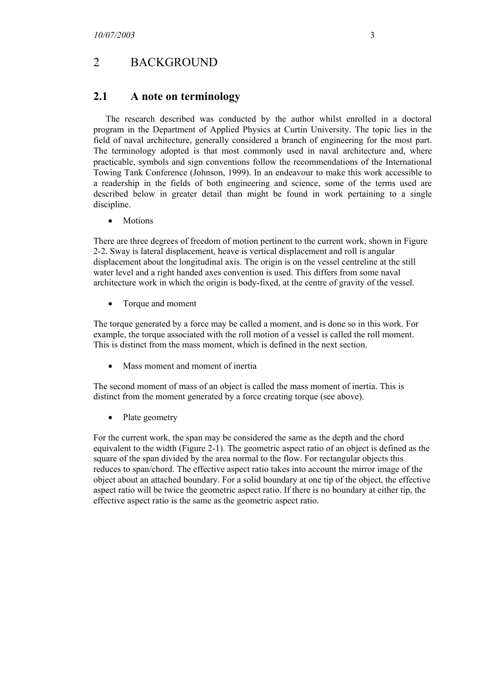# 2 BACKGROUND

#### **2.1 A note on terminology**

The research described was conducted by the author whilst enrolled in a doctoral program in the Department of Applied Physics at Curtin University. The topic lies in the field of naval architecture, generally considered a branch of engineering for the most part. The terminology adopted is that most commonly used in naval architecture and, where practicable, symbols and sign conventions follow the recommendations of the International Towing Tank Conference (Johnson, 1999). In an endeavour to make this work accessible to a readership in the fields of both engineering and science, some of the terms used are described below in greater detail than might be found in work pertaining to a single discipline.

• Motions

There are three degrees of freedom of motion pertinent to the current work, shown in Figure 2-2. Sway is lateral displacement, heave is vertical displacement and roll is angular displacement about the longitudinal axis. The origin is on the vessel centreline at the still water level and a right handed axes convention is used. This differs from some naval architecture work in which the origin is body-fixed, at the centre of gravity of the vessel.

• Torque and moment

The torque generated by a force may be called a moment, and is done so in this work. For example, the torque associated with the roll motion of a vessel is called the roll moment. This is distinct from the mass moment, which is defined in the next section.

Mass moment and moment of inertia

The second moment of mass of an object is called the mass moment of inertia. This is distinct from the moment generated by a force creating torque (see above).

• Plate geometry

For the current work, the span may be considered the same as the depth and the chord equivalent to the width (Figure 2-1). The geometric aspect ratio of an object is defined as the square of the span divided by the area normal to the flow. For rectangular objects this reduces to span/chord. The effective aspect ratio takes into account the mirror image of the object about an attached boundary. For a solid boundary at one tip of the object, the effective aspect ratio will be twice the geometric aspect ratio. If there is no boundary at either tip, the effective aspect ratio is the same as the geometric aspect ratio.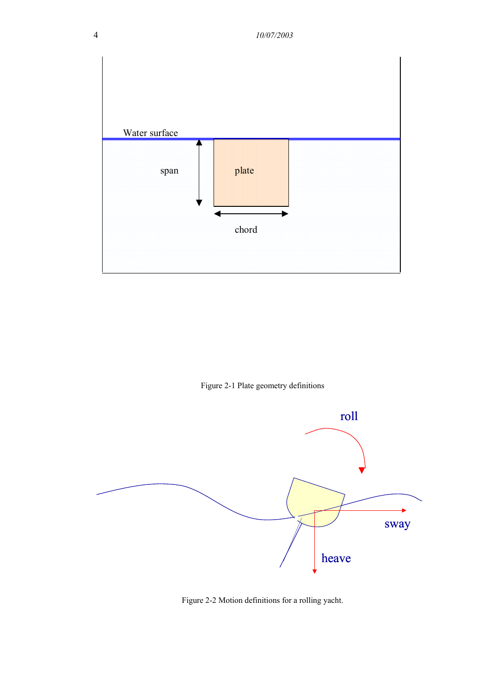

Figure 2-1 Plate geometry definitions



Figure 2-2 Motion definitions for a rolling yacht.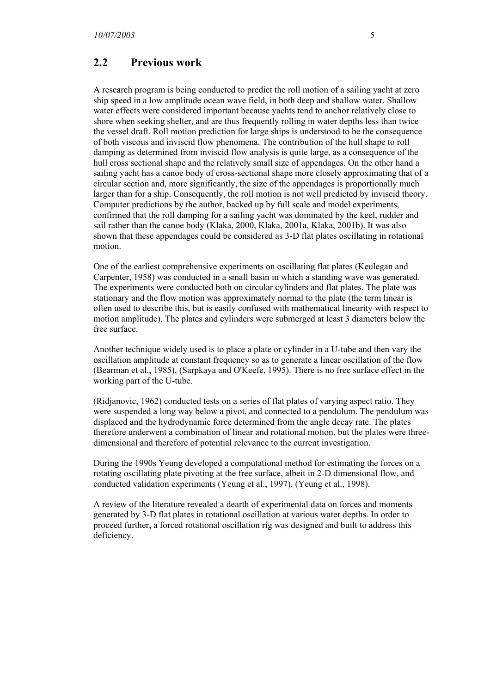#### **2.2 Previous work**

A research program is being conducted to predict the roll motion of a sailing yacht at zero ship speed in a low amplitude ocean wave field, in both deep and shallow water. Shallow water effects were considered important because yachts tend to anchor relatively close to shore when seeking shelter, and are thus frequently rolling in water depths less than twice the vessel draft. Roll motion prediction for large ships is understood to be the consequence of both viscous and inviscid flow phenomena. The contribution of the hull shape to roll damping as determined from inviscid flow analysis is quite large, as a consequence of the hull cross sectional shape and the relatively small size of appendages. On the other hand a sailing yacht has a canoe body of cross-sectional shape more closely approximating that of a circular section and, more significantly, the size of the appendages is proportionally much larger than for a ship. Consequently, the roll motion is not well predicted by inviscid theory. Computer predictions by the author, backed up by full scale and model experiments, confirmed that the roll damping for a sailing yacht was dominated by the keel, rudder and sail rather than the canoe body (Klaka, 2000, Klaka, 2001a, Klaka, 2001b). It was also shown that these appendages could be considered as 3-D flat plates oscillating in rotational motion.

One of the earliest comprehensive experiments on oscillating flat plates (Keulegan and Carpenter, 1958) was conducted in a small basin in which a standing wave was generated. The experiments were conducted both on circular cylinders and flat plates. The plate was stationary and the flow motion was approximately normal to the plate (the term linear is often used to describe this, but is easily confused with mathematical linearity with respect to motion amplitude). The plates and cylinders were submerged at least 3 diameters below the free surface.

Another technique widely used is to place a plate or cylinder in a U-tube and then vary the oscillation amplitude at constant frequency so as to generate a linear oscillation of the flow (Bearman et al., 1985), (Sarpkaya and O'Keefe, 1995). There is no free surface effect in the working part of the U-tube.

(Ridjanovic, 1962) conducted tests on a series of flat plates of varying aspect ratio. They were suspended a long way below a pivot, and connected to a pendulum. The pendulum was displaced and the hydrodynamic force determined from the angle decay rate. The plates therefore underwent a combination of linear and rotational motion, but the plates were threedimensional and therefore of potential relevance to the current investigation.

During the 1990s Yeung developed a computational method for estimating the forces on a rotating oscillating plate pivoting at the free surface, albeit in 2-D dimensional flow, and conducted validation experiments (Yeung et al., 1997), (Yeung et al., 1998).

A review of the literature revealed a dearth of experimental data on forces and moments generated by 3-D flat plates in rotational oscillation at various water depths. In order to proceed further, a forced rotational oscillation rig was designed and built to address this deficiency.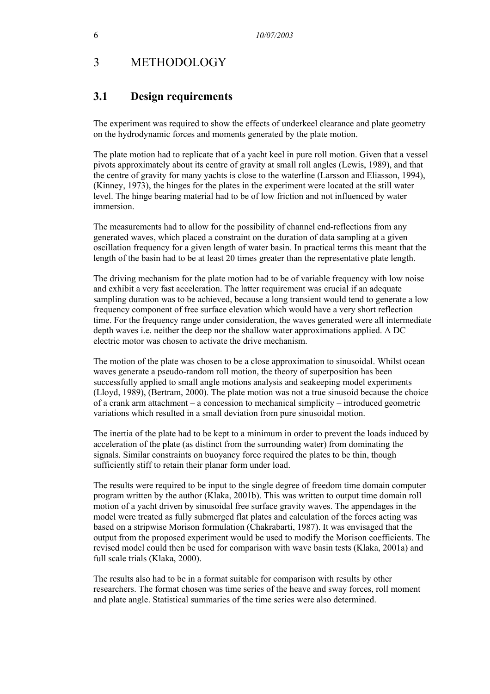# 3 METHODOLOGY

#### **3.1 Design requirements**

The experiment was required to show the effects of underkeel clearance and plate geometry on the hydrodynamic forces and moments generated by the plate motion.

The plate motion had to replicate that of a yacht keel in pure roll motion. Given that a vessel pivots approximately about its centre of gravity at small roll angles (Lewis, 1989), and that the centre of gravity for many yachts is close to the waterline (Larsson and Eliasson, 1994), (Kinney, 1973), the hinges for the plates in the experiment were located at the still water level. The hinge bearing material had to be of low friction and not influenced by water immersion.

The measurements had to allow for the possibility of channel end-reflections from any generated waves, which placed a constraint on the duration of data sampling at a given oscillation frequency for a given length of water basin. In practical terms this meant that the length of the basin had to be at least 20 times greater than the representative plate length.

The driving mechanism for the plate motion had to be of variable frequency with low noise and exhibit a very fast acceleration. The latter requirement was crucial if an adequate sampling duration was to be achieved, because a long transient would tend to generate a low frequency component of free surface elevation which would have a very short reflection time. For the frequency range under consideration, the waves generated were all intermediate depth waves i.e. neither the deep nor the shallow water approximations applied. A DC electric motor was chosen to activate the drive mechanism.

The motion of the plate was chosen to be a close approximation to sinusoidal. Whilst ocean waves generate a pseudo-random roll motion, the theory of superposition has been successfully applied to small angle motions analysis and seakeeping model experiments (Lloyd, 1989), (Bertram, 2000). The plate motion was not a true sinusoid because the choice of a crank arm attachment – a concession to mechanical simplicity – introduced geometric variations which resulted in a small deviation from pure sinusoidal motion.

The inertia of the plate had to be kept to a minimum in order to prevent the loads induced by acceleration of the plate (as distinct from the surrounding water) from dominating the signals. Similar constraints on buoyancy force required the plates to be thin, though sufficiently stiff to retain their planar form under load.

The results were required to be input to the single degree of freedom time domain computer program written by the author (Klaka, 2001b). This was written to output time domain roll motion of a yacht driven by sinusoidal free surface gravity waves. The appendages in the model were treated as fully submerged flat plates and calculation of the forces acting was based on a stripwise Morison formulation (Chakrabarti, 1987). It was envisaged that the output from the proposed experiment would be used to modify the Morison coefficients. The revised model could then be used for comparison with wave basin tests (Klaka, 2001a) and full scale trials (Klaka, 2000).

The results also had to be in a format suitable for comparison with results by other researchers. The format chosen was time series of the heave and sway forces, roll moment and plate angle. Statistical summaries of the time series were also determined.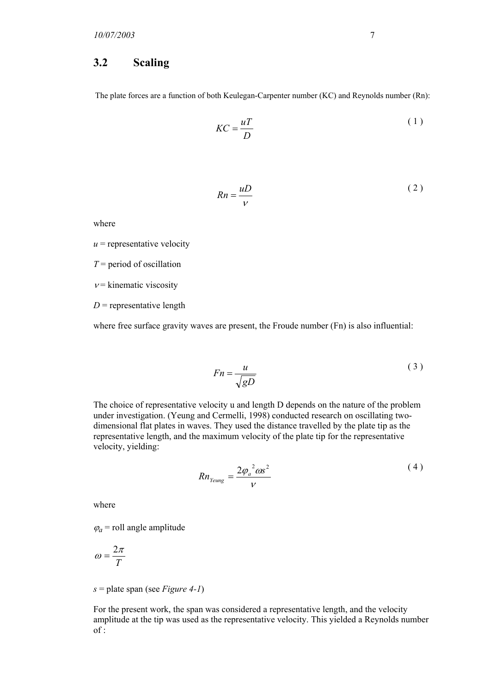#### **3.2 Scaling**

The plate forces are a function of both Keulegan-Carpenter number (KC) and Reynolds number (Rn):

$$
KC = \frac{uT}{D} \tag{1}
$$

$$
Rn = \frac{uD}{V} \tag{2}
$$

where

 $u$  = representative velocity

*T* = period of oscillation

 $v =$ kinematic viscosity

 $D$  = representative length

where free surface gravity waves are present, the Froude number (Fn) is also influential:

$$
Fn = \frac{u}{\sqrt{gD}}\tag{3}
$$

The choice of representative velocity u and length D depends on the nature of the problem under investigation. (Yeung and Cermelli, 1998) conducted research on oscillating twodimensional flat plates in waves. They used the distance travelled by the plate tip as the representative length, and the maximum velocity of the plate tip for the representative velocity, yielding:

$$
Rn_{\text{Yeung}} = \frac{2\varphi_a^2 \omega s^2}{V} \tag{4}
$$

where

 $\varphi_a$  = roll angle amplitude

$$
\omega = \frac{2\pi}{T}
$$

*s* = plate span (see *Figure 4-1*)

For the present work, the span was considered a representative length, and the velocity amplitude at the tip was used as the representative velocity. This yielded a Reynolds number  $of:$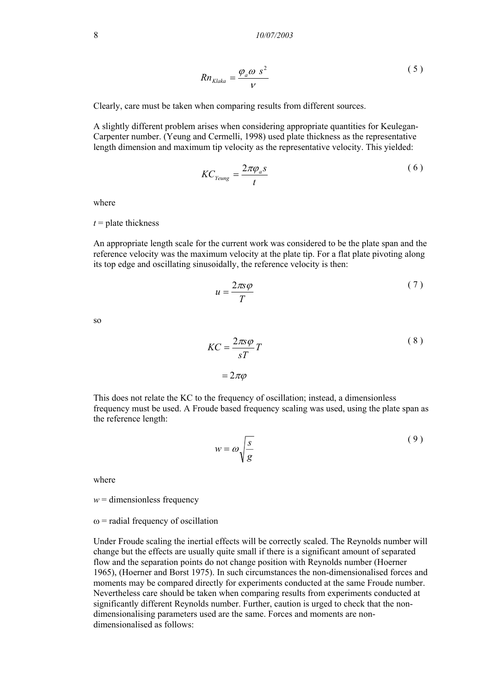8 *10/07/2003* 

$$
Rn_{Klaka} = \frac{\varphi_a \omega s^2}{V}
$$
 (5)

Clearly, care must be taken when comparing results from different sources.

A slightly different problem arises when considering appropriate quantities for Keulegan-Carpenter number. (Yeung and Cermelli, 1998) used plate thickness as the representative length dimension and maximum tip velocity as the representative velocity. This yielded:

$$
KC_{\text{Yeung}} = \frac{2\pi\varphi_a s}{t} \tag{6}
$$

where

 $t =$  plate thickness

An appropriate length scale for the current work was considered to be the plate span and the reference velocity was the maximum velocity at the plate tip. For a flat plate pivoting along its top edge and oscillating sinusoidally, the reference velocity is then:

$$
u = \frac{2\pi s \varphi}{T} \tag{7}
$$

so

$$
KC = \frac{2\pi s \varphi}{sT} T
$$
  
=  $2\pi \varphi$  (8)

This does not relate the KC to the frequency of oscillation; instead, a dimensionless frequency must be used. A Froude based frequency scaling was used, using the plate span as the reference length:

$$
w = \omega \sqrt{\frac{s}{g}}
$$
 (9)

where

 $w =$  dimensionless frequency

#### $\omega$  = radial frequency of oscillation

Under Froude scaling the inertial effects will be correctly scaled. The Reynolds number will change but the effects are usually quite small if there is a significant amount of separated flow and the separation points do not change position with Reynolds number (Hoerner 1965), (Hoerner and Borst 1975). In such circumstances the non-dimensionalised forces and moments may be compared directly for experiments conducted at the same Froude number. Nevertheless care should be taken when comparing results from experiments conducted at significantly different Reynolds number. Further, caution is urged to check that the nondimensionalising parameters used are the same. Forces and moments are nondimensionalised as follows: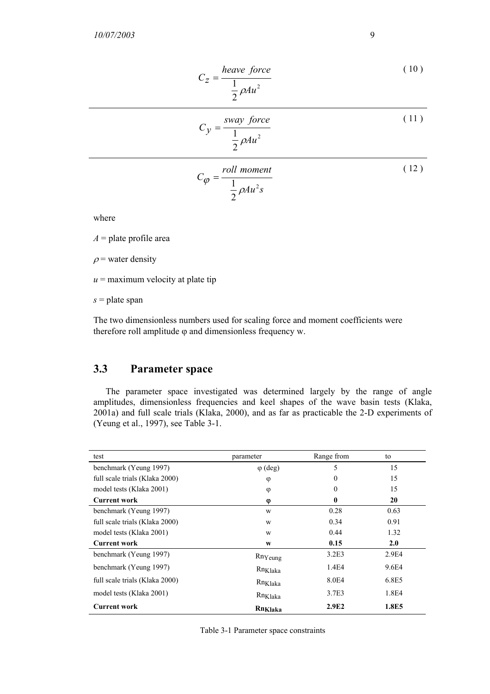$$
C_Z = \frac{heave \ force}{\frac{1}{2}\rho A u^2}
$$
 (10)

$$
C_y = \frac{sway \ force}{\frac{1}{2} \rho A u^2}
$$
 (11)

$$
C_{\varphi} = \frac{roll \, moment}{\frac{1}{2} \rho A u^2 s} \tag{12}
$$

where

 $A =$ plate profile area

 $\rho$  = water density

 $u =$  maximum velocity at plate tip

*s* = plate span

The two dimensionless numbers used for scaling force and moment coefficients were therefore roll amplitude  $\varphi$  and dimensionless frequency w.

## **3.3 Parameter space**

The parameter space investigated was determined largely by the range of angle amplitudes, dimensionless frequencies and keel shapes of the wave basin tests (Klaka, 2001a) and full scale trials (Klaka, 2000), and as far as practicable the 2-D experiments of (Yeung et al., 1997), see Table 3-1.

| test                           | parameter           | Range from   | to    |
|--------------------------------|---------------------|--------------|-------|
| benchmark (Yeung 1997)         | $\varphi$ (deg)     | 5            | 15    |
| full scale trials (Klaka 2000) | φ                   | $\mathbf{0}$ | 15    |
| model tests (Klaka 2001)       | φ                   | $\theta$     | 15    |
| <b>Current work</b>            | φ                   | $\bf{0}$     | 20    |
| benchmark (Yeung 1997)         | W                   | 0.28         | 0.63  |
| full scale trials (Klaka 2000) | W                   | 0.34         | 0.91  |
| model tests (Klaka 2001)       | W                   | 0.44         | 1.32  |
| <b>Current work</b>            | W                   | 0.15         | 2.0   |
| benchmark (Yeung 1997)         | RnYeung             | 3.2E3        | 2.9E4 |
| benchmark (Yeung 1997)         | Rn <sub>Klaka</sub> | 1.4E4        | 9.6E4 |
| full scale trials (Klaka 2000) | Rn <sub>Klaka</sub> | 8.0E4        | 6.8E5 |
| model tests (Klaka 2001)       | Rn <sub>Klaka</sub> | 3.7E3        | 1.8E4 |
| Current work                   | Rn <sub>Klaka</sub> | 2.9E2        | 1.8E5 |

Table 3-1 Parameter space constraints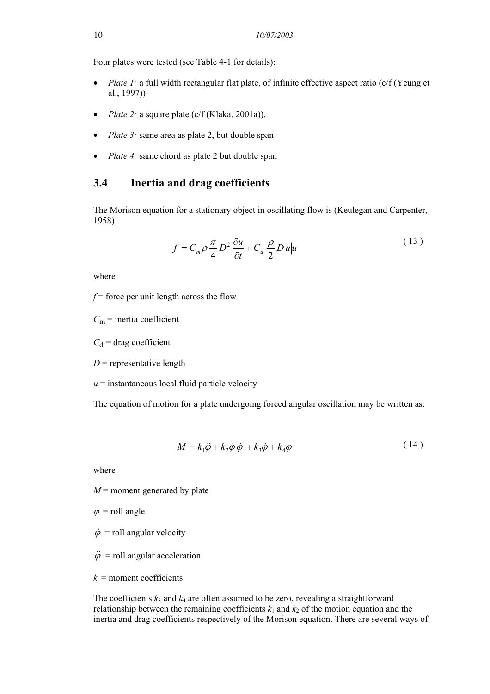Four plates were tested (see Table 4-1 for details):

- *Plate 1:* a full width rectangular flat plate, of infinite effective aspect ratio (c/f (Yeung et al., 1997))
- *Plate 2:* a square plate (c/f (Klaka, 2001a)).
- *Plate 3:* same area as plate 2, but double span
- *Plate 4:* same chord as plate 2 but double span

#### **3.4 Inertia and drag coefficients**

The Morison equation for a stationary object in oscillating flow is (Keulegan and Carpenter, 1958)

$$
f = C_m \rho \frac{\pi}{4} D^2 \frac{\partial u}{\partial t} + C_d \frac{\rho}{2} D |u| u \tag{13}
$$

where

 $f$  = force per unit length across the flow

 $C_m$  = inertia coefficient

 $C_d$  = drag coefficient

 $D$  = representative length

 $u =$  instantaneous local fluid particle velocity

The equation of motion for a plate undergoing forced angular oscillation may be written as:

$$
M = k_1 \ddot{\varphi} + k_2 \dot{\varphi} |\dot{\varphi}| + k_3 \dot{\varphi} + k_4 \varphi \tag{14}
$$

where

 $M$  = moment generated by plate

 $\varphi$  = roll angle

- $\dot{\varphi}$  = roll angular velocity
- $\ddot{\varphi}$  = roll angular acceleration
- $k_i$  = moment coefficients

The coefficients  $k_3$  and  $k_4$  are often assumed to be zero, revealing a straightforward relationship between the remaining coefficients  $k_1$  and  $k_2$  of the motion equation and the inertia and drag coefficients respectively of the Morison equation. There are several ways of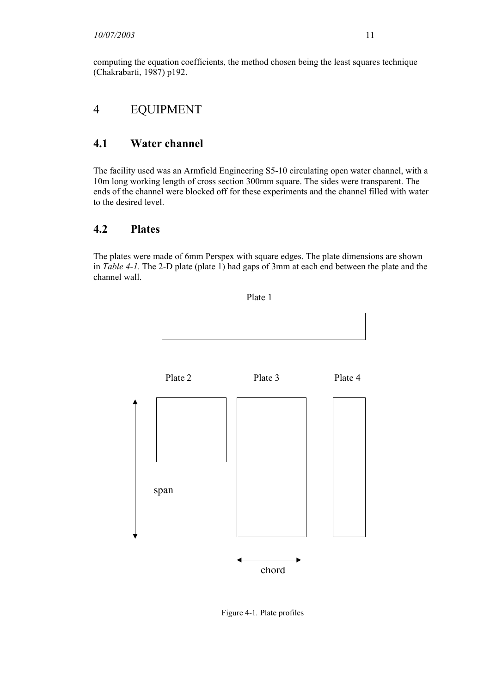computing the equation coefficients, the method chosen being the least squares technique (Chakrabarti, 1987) p192.

# 4 EQUIPMENT

# **4.1 Water channel**

The facility used was an Armfield Engineering S5-10 circulating open water channel, with a 10m long working length of cross section 300mm square. The sides were transparent. The ends of the channel were blocked off for these experiments and the channel filled with water to the desired level.

# **4.2 Plates**

The plates were made of 6mm Perspex with square edges. The plate dimensions are shown in *Table 4-1*. The 2-D plate (plate 1) had gaps of 3mm at each end between the plate and the channel wall.



Figure 4-1*.* Plate profiles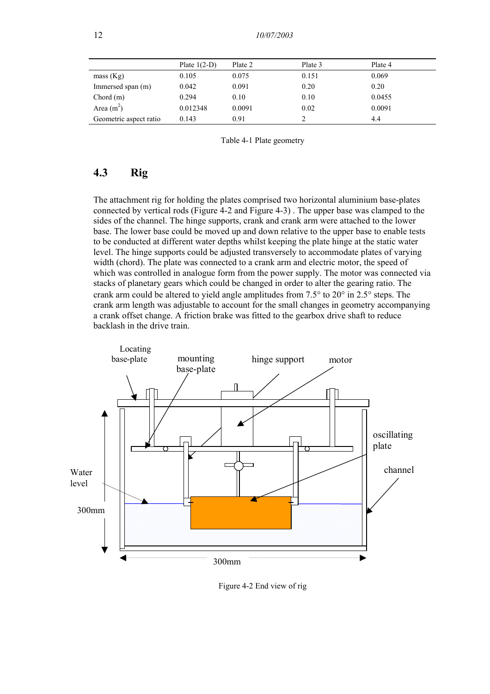|                        | Plate $1(2-D)$ | Plate 2 | Plate 3 | Plate 4 |
|------------------------|----------------|---------|---------|---------|
| mass (Kg)              | 0.105          | 0.075   | 0.151   | 0.069   |
| Immersed span (m)      | 0.042          | 0.091   | 0.20    | 0.20    |
| Chord(m)               | 0.294          | 0.10    | 0.10    | 0.0455  |
| Area $(m2)$            | 0.012348       | 0.0091  | 0.02    | 0.0091  |
| Geometric aspect ratio | 0.143          | 0.91    |         | 4.4     |

Table 4-1 Plate geometry

### **4.3 Rig**

The attachment rig for holding the plates comprised two horizontal aluminium base-plates connected by vertical rods (Figure 4-2 and Figure 4-3) . The upper base was clamped to the sides of the channel. The hinge supports, crank and crank arm were attached to the lower base. The lower base could be moved up and down relative to the upper base to enable tests to be conducted at different water depths whilst keeping the plate hinge at the static water level. The hinge supports could be adjusted transversely to accommodate plates of varying width (chord). The plate was connected to a crank arm and electric motor, the speed of which was controlled in analogue form from the power supply. The motor was connected via stacks of planetary gears which could be changed in order to alter the gearing ratio. The crank arm could be altered to yield angle amplitudes from 7.5° to 20° in 2.5° steps. The crank arm length was adjustable to account for the small changes in geometry accompanying a crank offset change. A friction brake was fitted to the gearbox drive shaft to reduce backlash in the drive train.



Figure 4-2 End view of rig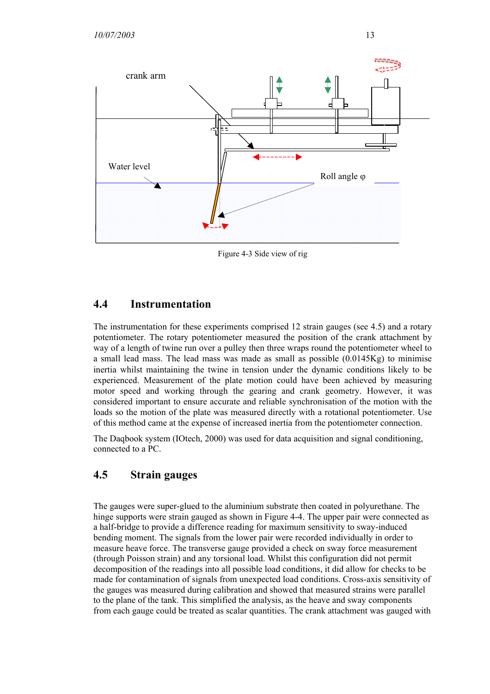

Figure 4-3 Side view of rig

# **4.4 Instrumentation**

The instrumentation for these experiments comprised 12 strain gauges (see 4.5) and a rotary potentiometer. The rotary potentiometer measured the position of the crank attachment by way of a length of twine run over a pulley then three wraps round the potentiometer wheel to a small lead mass. The lead mass was made as small as possible  $(0.0145Kg)$  to minimise inertia whilst maintaining the twine in tension under the dynamic conditions likely to be experienced. Measurement of the plate motion could have been achieved by measuring motor speed and working through the gearing and crank geometry. However, it was considered important to ensure accurate and reliable synchronisation of the motion with the loads so the motion of the plate was measured directly with a rotational potentiometer. Use of this method came at the expense of increased inertia from the potentiometer connection.

The Daqbook system (IOtech, 2000) was used for data acquisition and signal conditioning, connected to a PC.

# **4.5 Strain gauges**

The gauges were super-glued to the aluminium substrate then coated in polyurethane. The hinge supports were strain gauged as shown in Figure 4-4. The upper pair were connected as a half-bridge to provide a difference reading for maximum sensitivity to sway-induced bending moment. The signals from the lower pair were recorded individually in order to measure heave force. The transverse gauge provided a check on sway force measurement (through Poisson strain) and any torsional load. Whilst this configuration did not permit decomposition of the readings into all possible load conditions, it did allow for checks to be made for contamination of signals from unexpected load conditions. Cross-axis sensitivity of the gauges was measured during calibration and showed that measured strains were parallel to the plane of the tank. This simplified the analysis, as the heave and sway components from each gauge could be treated as scalar quantities. The crank attachment was gauged with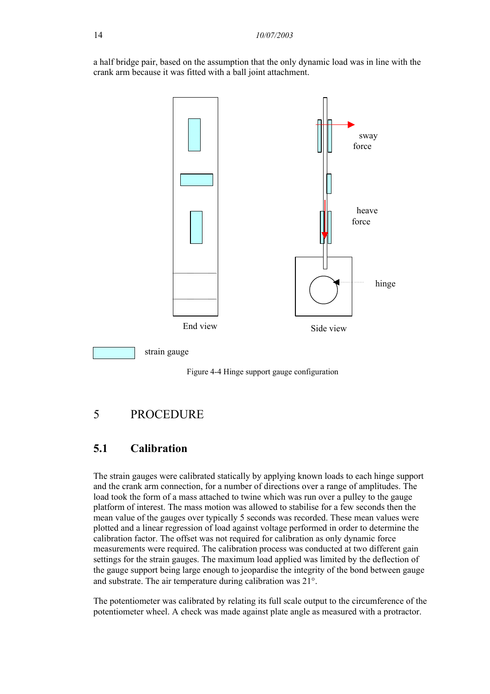a half bridge pair, based on the assumption that the only dynamic load was in line with the crank arm because it was fitted with a ball joint attachment.



Figure 4-4 Hinge support gauge configuration

# 5 PROCEDURE

# **5.1 Calibration**

The strain gauges were calibrated statically by applying known loads to each hinge support and the crank arm connection, for a number of directions over a range of amplitudes. The load took the form of a mass attached to twine which was run over a pulley to the gauge platform of interest. The mass motion was allowed to stabilise for a few seconds then the mean value of the gauges over typically 5 seconds was recorded. These mean values were plotted and a linear regression of load against voltage performed in order to determine the calibration factor. The offset was not required for calibration as only dynamic force measurements were required. The calibration process was conducted at two different gain settings for the strain gauges. The maximum load applied was limited by the deflection of the gauge support being large enough to jeopardise the integrity of the bond between gauge and substrate. The air temperature during calibration was 21°.

The potentiometer was calibrated by relating its full scale output to the circumference of the potentiometer wheel. A check was made against plate angle as measured with a protractor.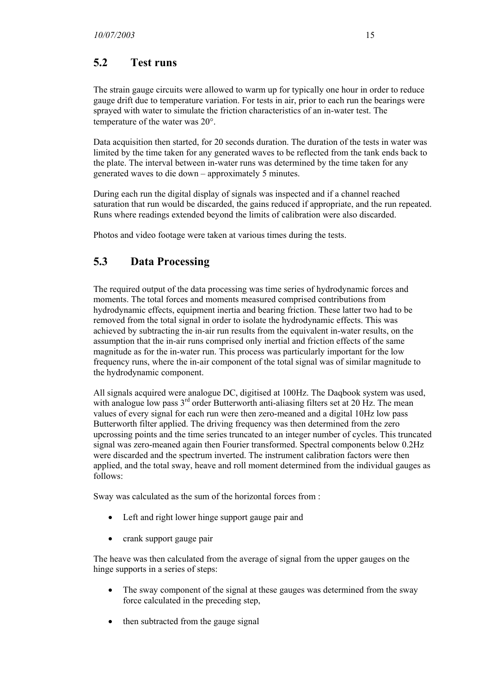# **5.2 Test runs**

The strain gauge circuits were allowed to warm up for typically one hour in order to reduce gauge drift due to temperature variation. For tests in air, prior to each run the bearings were sprayed with water to simulate the friction characteristics of an in-water test. The temperature of the water was 20°.

Data acquisition then started, for 20 seconds duration. The duration of the tests in water was limited by the time taken for any generated waves to be reflected from the tank ends back to the plate. The interval between in-water runs was determined by the time taken for any generated waves to die down – approximately 5 minutes.

During each run the digital display of signals was inspected and if a channel reached saturation that run would be discarded, the gains reduced if appropriate, and the run repeated. Runs where readings extended beyond the limits of calibration were also discarded.

Photos and video footage were taken at various times during the tests.

# **5.3 Data Processing**

The required output of the data processing was time series of hydrodynamic forces and moments. The total forces and moments measured comprised contributions from hydrodynamic effects, equipment inertia and bearing friction. These latter two had to be removed from the total signal in order to isolate the hydrodynamic effects. This was achieved by subtracting the in-air run results from the equivalent in-water results, on the assumption that the in-air runs comprised only inertial and friction effects of the same magnitude as for the in-water run. This process was particularly important for the low frequency runs, where the in-air component of the total signal was of similar magnitude to the hydrodynamic component.

All signals acquired were analogue DC, digitised at 100Hz. The Daqbook system was used, with analogue low pass  $3<sup>rd</sup>$  order Butterworth anti-aliasing filters set at 20 Hz. The mean values of every signal for each run were then zero-meaned and a digital 10Hz low pass Butterworth filter applied. The driving frequency was then determined from the zero upcrossing points and the time series truncated to an integer number of cycles. This truncated signal was zero-meaned again then Fourier transformed. Spectral components below 0.2Hz were discarded and the spectrum inverted. The instrument calibration factors were then applied, and the total sway, heave and roll moment determined from the individual gauges as follows:

Sway was calculated as the sum of the horizontal forces from :

- Left and right lower hinge support gauge pair and
- crank support gauge pair

The heave was then calculated from the average of signal from the upper gauges on the hinge supports in a series of steps:

- The sway component of the signal at these gauges was determined from the sway force calculated in the preceding step,
- then subtracted from the gauge signal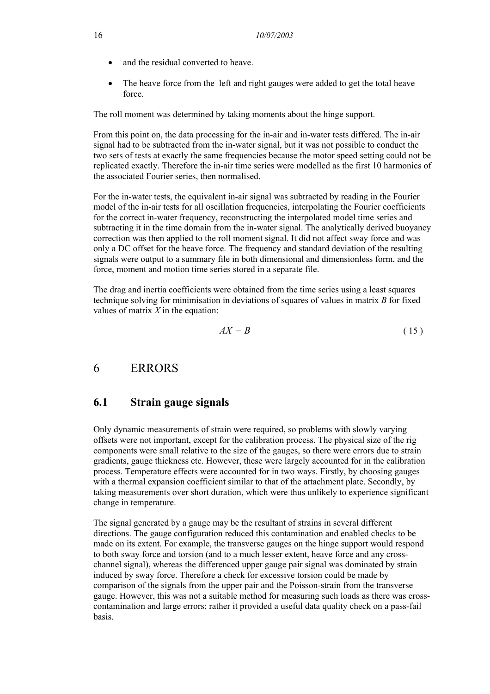- and the residual converted to heave.
- The heave force from the left and right gauges were added to get the total heave force.

The roll moment was determined by taking moments about the hinge support.

From this point on, the data processing for the in-air and in-water tests differed. The in-air signal had to be subtracted from the in-water signal, but it was not possible to conduct the two sets of tests at exactly the same frequencies because the motor speed setting could not be replicated exactly. Therefore the in-air time series were modelled as the first 10 harmonics of the associated Fourier series, then normalised.

For the in-water tests, the equivalent in-air signal was subtracted by reading in the Fourier model of the in-air tests for all oscillation frequencies, interpolating the Fourier coefficients for the correct in-water frequency, reconstructing the interpolated model time series and subtracting it in the time domain from the in-water signal. The analytically derived buoyancy correction was then applied to the roll moment signal. It did not affect sway force and was only a DC offset for the heave force. The frequency and standard deviation of the resulting signals were output to a summary file in both dimensional and dimensionless form, and the force, moment and motion time series stored in a separate file.

The drag and inertia coefficients were obtained from the time series using a least squares technique solving for minimisation in deviations of squares of values in matrix *B* for fixed values of matrix *X* in the equation:

$$
AX = B \tag{15}
$$

### 6 ERRORS

### **6.1 Strain gauge signals**

Only dynamic measurements of strain were required, so problems with slowly varying offsets were not important, except for the calibration process. The physical size of the rig components were small relative to the size of the gauges, so there were errors due to strain gradients, gauge thickness etc. However, these were largely accounted for in the calibration process. Temperature effects were accounted for in two ways. Firstly, by choosing gauges with a thermal expansion coefficient similar to that of the attachment plate. Secondly, by taking measurements over short duration, which were thus unlikely to experience significant change in temperature.

The signal generated by a gauge may be the resultant of strains in several different directions. The gauge configuration reduced this contamination and enabled checks to be made on its extent. For example, the transverse gauges on the hinge support would respond to both sway force and torsion (and to a much lesser extent, heave force and any crosschannel signal), whereas the differenced upper gauge pair signal was dominated by strain induced by sway force. Therefore a check for excessive torsion could be made by comparison of the signals from the upper pair and the Poisson-strain from the transverse gauge. However, this was not a suitable method for measuring such loads as there was crosscontamination and large errors; rather it provided a useful data quality check on a pass-fail basis.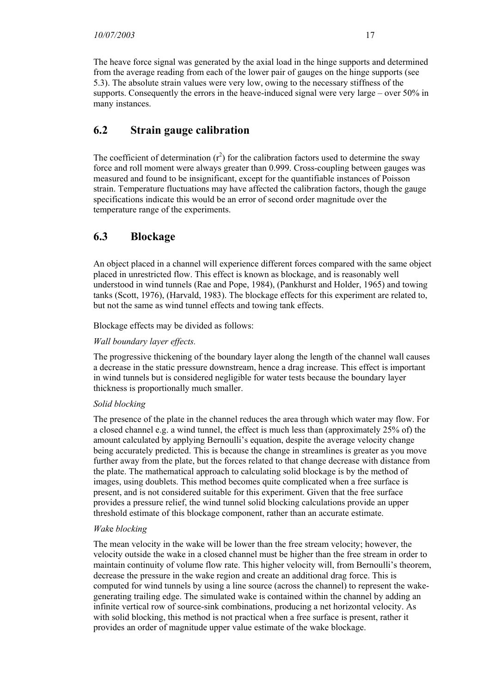The heave force signal was generated by the axial load in the hinge supports and determined from the average reading from each of the lower pair of gauges on the hinge supports (see 5.3). The absolute strain values were very low, owing to the necessary stiffness of the supports. Consequently the errors in the heave-induced signal were very large – over 50% in many instances.

# **6.2 Strain gauge calibration**

The coefficient of determination  $(r^2)$  for the calibration factors used to determine the sway force and roll moment were always greater than 0.999. Cross-coupling between gauges was measured and found to be insignificant, except for the quantifiable instances of Poisson strain. Temperature fluctuations may have affected the calibration factors, though the gauge specifications indicate this would be an error of second order magnitude over the temperature range of the experiments.

# **6.3 Blockage**

An object placed in a channel will experience different forces compared with the same object placed in unrestricted flow. This effect is known as blockage, and is reasonably well understood in wind tunnels (Rae and Pope, 1984), (Pankhurst and Holder, 1965) and towing tanks (Scott, 1976), (Harvald, 1983). The blockage effects for this experiment are related to, but not the same as wind tunnel effects and towing tank effects.

Blockage effects may be divided as follows:

#### *Wall boundary layer effects.*

The progressive thickening of the boundary layer along the length of the channel wall causes a decrease in the static pressure downstream, hence a drag increase. This effect is important in wind tunnels but is considered negligible for water tests because the boundary layer thickness is proportionally much smaller.

#### *Solid blocking*

The presence of the plate in the channel reduces the area through which water may flow. For a closed channel e.g. a wind tunnel, the effect is much less than (approximately 25% of) the amount calculated by applying Bernoulli's equation, despite the average velocity change being accurately predicted. This is because the change in streamlines is greater as you move further away from the plate, but the forces related to that change decrease with distance from the plate. The mathematical approach to calculating solid blockage is by the method of images, using doublets. This method becomes quite complicated when a free surface is present, and is not considered suitable for this experiment. Given that the free surface provides a pressure relief, the wind tunnel solid blocking calculations provide an upper threshold estimate of this blockage component, rather than an accurate estimate.

#### *Wak*e *blocking*

The mean velocity in the wake will be lower than the free stream velocity; however, the velocity outside the wake in a closed channel must be higher than the free stream in order to maintain continuity of volume flow rate. This higher velocity will, from Bernoulli's theorem, decrease the pressure in the wake region and create an additional drag force. This is computed for wind tunnels by using a line source (across the channel) to represent the wakegenerating trailing edge. The simulated wake is contained within the channel by adding an infinite vertical row of source-sink combinations, producing a net horizontal velocity. As with solid blocking, this method is not practical when a free surface is present, rather it provides an order of magnitude upper value estimate of the wake blockage.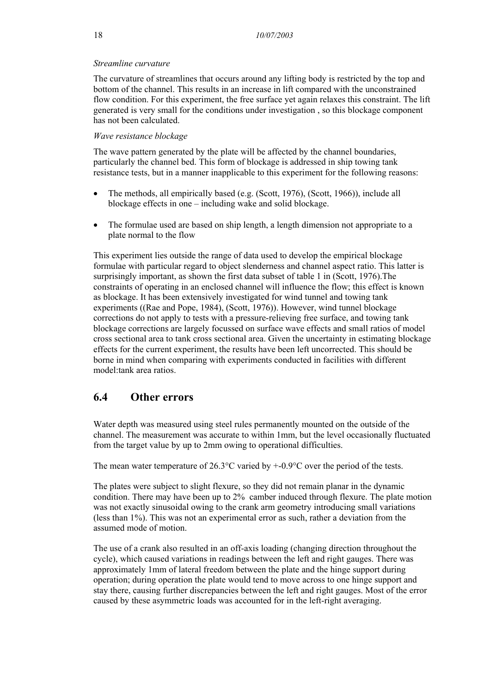#### *Streamline curvature*

The curvature of streamlines that occurs around any lifting body is restricted by the top and bottom of the channel. This results in an increase in lift compared with the unconstrained flow condition. For this experiment, the free surface yet again relaxes this constraint. The lift generated is very small for the conditions under investigation , so this blockage component has not been calculated.

#### *Wave resistance blockage*

The wave pattern generated by the plate will be affected by the channel boundaries, particularly the channel bed. This form of blockage is addressed in ship towing tank resistance tests, but in a manner inapplicable to this experiment for the following reasons:

- The methods, all empirically based (e.g. (Scott, 1976), (Scott, 1966)), include all blockage effects in one – including wake and solid blockage.
- The formulae used are based on ship length, a length dimension not appropriate to a plate normal to the flow

This experiment lies outside the range of data used to develop the empirical blockage formulae with particular regard to object slenderness and channel aspect ratio. This latter is surprisingly important, as shown the first data subset of table 1 in (Scott, 1976).The constraints of operating in an enclosed channel will influence the flow; this effect is known as blockage. It has been extensively investigated for wind tunnel and towing tank experiments ((Rae and Pope, 1984), (Scott, 1976)). However, wind tunnel blockage corrections do not apply to tests with a pressure-relieving free surface, and towing tank blockage corrections are largely focussed on surface wave effects and small ratios of model cross sectional area to tank cross sectional area. Given the uncertainty in estimating blockage effects for the current experiment, the results have been left uncorrected. This should be borne in mind when comparing with experiments conducted in facilities with different model:tank area ratios.

## **6.4 Other errors**

Water depth was measured using steel rules permanently mounted on the outside of the channel. The measurement was accurate to within 1mm, but the level occasionally fluctuated from the target value by up to 2mm owing to operational difficulties.

The mean water temperature of 26.3 $^{\circ}$ C varied by  $+0.9^{\circ}$ C over the period of the tests.

The plates were subject to slight flexure, so they did not remain planar in the dynamic condition. There may have been up to 2% camber induced through flexure. The plate motion was not exactly sinusoidal owing to the crank arm geometry introducing small variations (less than 1%). This was not an experimental error as such, rather a deviation from the assumed mode of motion.

The use of a crank also resulted in an off-axis loading (changing direction throughout the cycle), which caused variations in readings between the left and right gauges. There was approximately 1mm of lateral freedom between the plate and the hinge support during operation; during operation the plate would tend to move across to one hinge support and stay there, causing further discrepancies between the left and right gauges. Most of the error caused by these asymmetric loads was accounted for in the left-right averaging.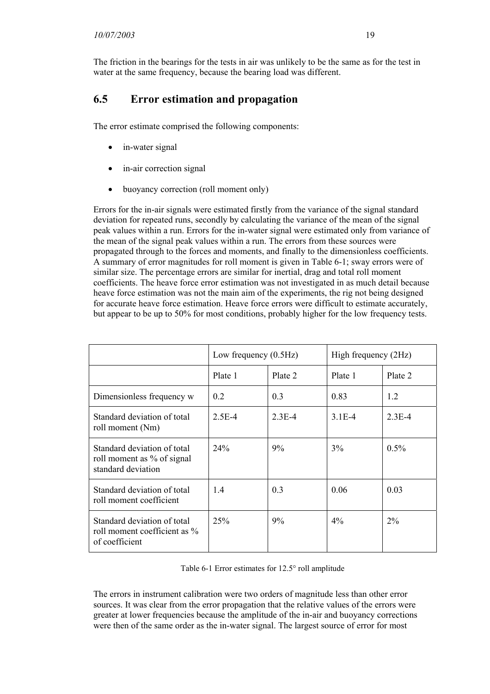The friction in the bearings for the tests in air was unlikely to be the same as for the test in water at the same frequency, because the bearing load was different.

# **6.5 Error estimation and propagation**

The error estimate comprised the following components:

- in-water signal
- in-air correction signal
- buoyancy correction (roll moment only)

Errors for the in-air signals were estimated firstly from the variance of the signal standard deviation for repeated runs, secondly by calculating the variance of the mean of the signal peak values within a run. Errors for the in-water signal were estimated only from variance of the mean of the signal peak values within a run. The errors from these sources were propagated through to the forces and moments, and finally to the dimensionless coefficients. A summary of error magnitudes for roll moment is given in Table 6-1; sway errors were of similar size. The percentage errors are similar for inertial, drag and total roll moment coefficients. The heave force error estimation was not investigated in as much detail because heave force estimation was not the main aim of the experiments, the rig not being designed for accurate heave force estimation. Heave force errors were difficult to estimate accurately, but appear to be up to 50% for most conditions, probably higher for the low frequency tests.

|                                                                                 | Low frequency $(0.5Hz)$ |          | High frequency (2Hz) |          |
|---------------------------------------------------------------------------------|-------------------------|----------|----------------------|----------|
|                                                                                 | Plate 1                 | Plate 2  | Plate 1              | Plate 2  |
| Dimensionless frequency w                                                       | 0.2                     | 0.3      | 0.83                 | 1.2      |
| Standard deviation of total<br>roll moment (Nm)                                 | $2.5E-4$                | $2.3E-4$ | $3.1E-4$             | $2.3E-4$ |
| Standard deviation of total<br>roll moment as % of signal<br>standard deviation | 24%                     | $9\%$    | $3\%$                | $0.5\%$  |
| Standard deviation of total<br>roll moment coefficient                          | 1.4                     | 0.3      | 0.06                 | 0.03     |
| Standard deviation of total<br>roll moment coefficient as %<br>of coefficient   | 25%                     | 9%       | $4\%$                | $2\%$    |

Table 6-1 Error estimates for 12.5° roll amplitude

The errors in instrument calibration were two orders of magnitude less than other error sources. It was clear from the error propagation that the relative values of the errors were greater at lower frequencies because the amplitude of the in-air and buoyancy corrections were then of the same order as the in-water signal. The largest source of error for most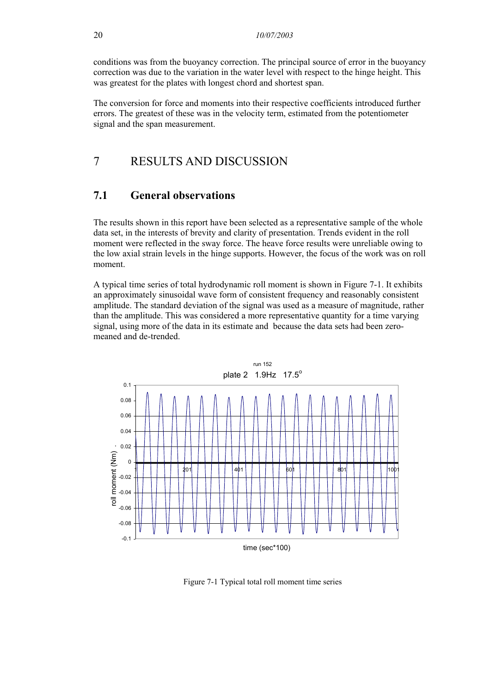conditions was from the buoyancy correction. The principal source of error in the buoyancy correction was due to the variation in the water level with respect to the hinge height. This was greatest for the plates with longest chord and shortest span.

The conversion for force and moments into their respective coefficients introduced further errors. The greatest of these was in the velocity term, estimated from the potentiometer signal and the span measurement.

# 7 RESULTS AND DISCUSSION

#### **7.1 General observations**

The results shown in this report have been selected as a representative sample of the whole data set, in the interests of brevity and clarity of presentation. Trends evident in the roll moment were reflected in the sway force. The heave force results were unreliable owing to the low axial strain levels in the hinge supports. However, the focus of the work was on roll moment.

A typical time series of total hydrodynamic roll moment is shown in Figure 7-1. It exhibits an approximately sinusoidal wave form of consistent frequency and reasonably consistent amplitude. The standard deviation of the signal was used as a measure of magnitude, rather than the amplitude. This was considered a more representative quantity for a time varying signal, using more of the data in its estimate and because the data sets had been zeromeaned and de-trended.



Figure 7-1 Typical total roll moment time series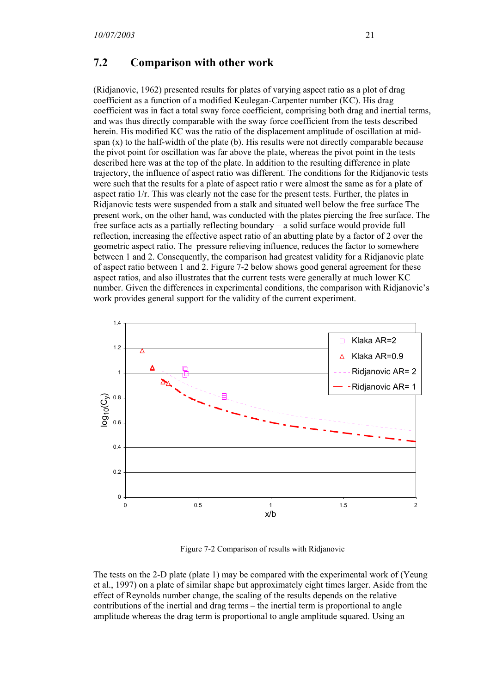#### **7.2 Comparison with other work**

(Ridjanovic, 1962) presented results for plates of varying aspect ratio as a plot of drag coefficient as a function of a modified Keulegan-Carpenter number (KC). His drag coefficient was in fact a total sway force coefficient, comprising both drag and inertial terms, and was thus directly comparable with the sway force coefficient from the tests described herein. His modified KC was the ratio of the displacement amplitude of oscillation at midspan  $(x)$  to the half-width of the plate  $(b)$ . His results were not directly comparable because the pivot point for oscillation was far above the plate, whereas the pivot point in the tests described here was at the top of the plate. In addition to the resulting difference in plate trajectory, the influence of aspect ratio was different. The conditions for the Ridjanovic tests were such that the results for a plate of aspect ratio r were almost the same as for a plate of aspect ratio 1/r. This was clearly not the case for the present tests. Further, the plates in Ridjanovic tests were suspended from a stalk and situated well below the free surface The present work, on the other hand, was conducted with the plates piercing the free surface. The free surface acts as a partially reflecting boundary – a solid surface would provide full reflection, increasing the effective aspect ratio of an abutting plate by a factor of 2 over the geometric aspect ratio. The pressure relieving influence, reduces the factor to somewhere between 1 and 2. Consequently, the comparison had greatest validity for a Ridjanovic plate of aspect ratio between 1 and 2. Figure 7-2 below shows good general agreement for these aspect ratios, and also illustrates that the current tests were generally at much lower KC number. Given the differences in experimental conditions, the comparison with Ridjanovic's work provides general support for the validity of the current experiment.



Figure 7-2 Comparison of results with Ridjanovic

The tests on the 2-D plate (plate 1) may be compared with the experimental work of (Yeung et al., 1997) on a plate of similar shape but approximately eight times larger. Aside from the effect of Reynolds number change, the scaling of the results depends on the relative contributions of the inertial and drag terms – the inertial term is proportional to angle amplitude whereas the drag term is proportional to angle amplitude squared. Using an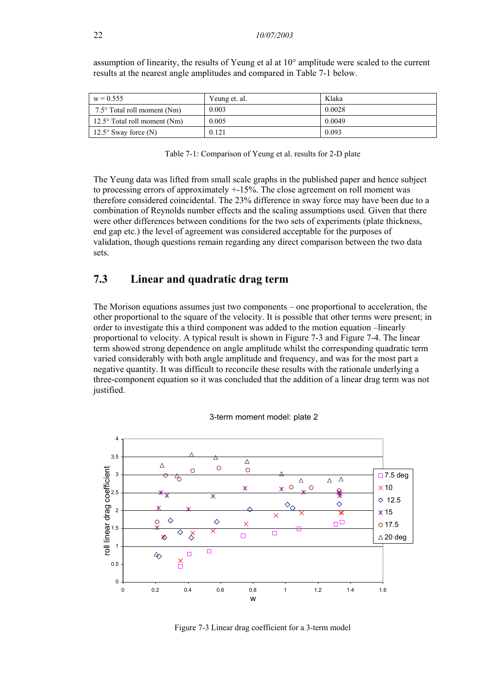| $w = 0.555$                           | Yeung et. al. | Klaka  |
|---------------------------------------|---------------|--------|
| 7.5 $\degree$ Total roll moment (Nm)  | 0.003         | 0.0028 |
| 12.5 $\degree$ Total roll moment (Nm) | 0.005         | 0.0049 |
| $12.5^{\circ}$ Sway force (N)         | 0.121         | 0.093  |

assumption of linearity, the results of Yeung et al at 10° amplitude were scaled to the current results at the nearest angle amplitudes and compared in Table 7-1 below.

|  |  |  | Table 7-1: Comparison of Yeung et al. results for 2-D plate |
|--|--|--|-------------------------------------------------------------|
|--|--|--|-------------------------------------------------------------|

The Yeung data was lifted from small scale graphs in the published paper and hence subject to processing errors of approximately +-15%. The close agreement on roll moment was therefore considered coincidental. The 23% difference in sway force may have been due to a combination of Reynolds number effects and the scaling assumptions used. Given that there were other differences between conditions for the two sets of experiments (plate thickness, end gap etc.) the level of agreement was considered acceptable for the purposes of validation, though questions remain regarding any direct comparison between the two data sets.

#### **7.3 Linear and quadratic drag term**

The Morison equations assumes just two components – one proportional to acceleration, the other proportional to the square of the velocity. It is possible that other terms were present; in order to investigate this a third component was added to the motion equation –linearly proportional to velocity. A typical result is shown in Figure 7-3 and Figure 7-4. The linear term showed strong dependence on angle amplitude whilst the corresponding quadratic term varied considerably with both angle amplitude and frequency, and was for the most part a negative quantity. It was difficult to reconcile these results with the rationale underlying a three-component equation so it was concluded that the addition of a linear drag term was not justified.





Figure 7-3 Linear drag coefficient for a 3-term model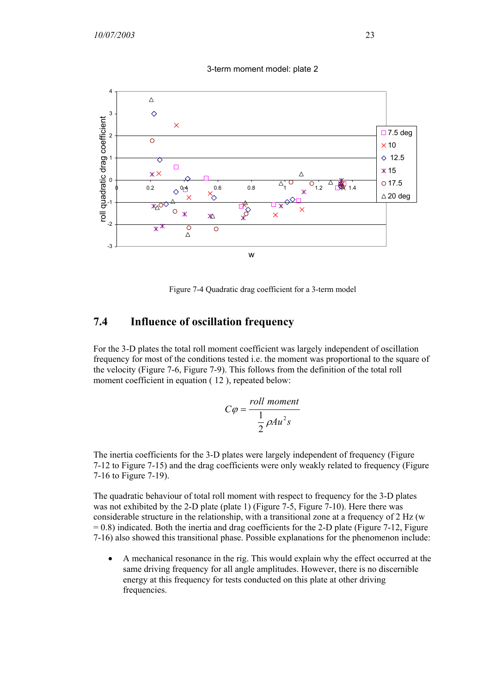

3-term moment model: plate 2

Figure 7-4 Quadratic drag coefficient for a 3-term model

# **7.4 Influence of oscillation frequency**

For the 3-D plates the total roll moment coefficient was largely independent of oscillation frequency for most of the conditions tested i.e. the moment was proportional to the square of the velocity (Figure 7-6, Figure 7-9). This follows from the definition of the total roll moment coefficient in equation  $(12)$ , repeated below:

$$
C\varphi = \frac{roll \ moment}{\frac{1}{2}\rho A u^2 s}
$$

The inertia coefficients for the 3-D plates were largely independent of frequency (Figure 7-12 to Figure 7-15) and the drag coefficients were only weakly related to frequency (Figure 7-16 to Figure 7-19).

The quadratic behaviour of total roll moment with respect to frequency for the 3-D plates was not exhibited by the 2-D plate (plate 1) (Figure 7-5, Figure 7-10). Here there was considerable structure in the relationship, with a transitional zone at a frequency of 2 Hz (w  $= 0.8$ ) indicated. Both the inertia and drag coefficients for the 2-D plate (Figure 7-12, Figure 7-16) also showed this transitional phase. Possible explanations for the phenomenon include:

• A mechanical resonance in the rig. This would explain why the effect occurred at the same driving frequency for all angle amplitudes. However, there is no discernible energy at this frequency for tests conducted on this plate at other driving frequencies.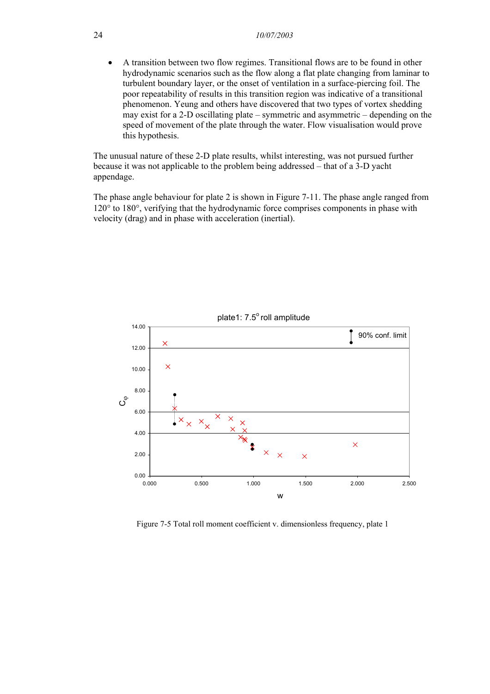• A transition between two flow regimes. Transitional flows are to be found in other hydrodynamic scenarios such as the flow along a flat plate changing from laminar to turbulent boundary layer, or the onset of ventilation in a surface-piercing foil. The poor repeatability of results in this transition region was indicative of a transitional phenomenon. Yeung and others have discovered that two types of vortex shedding may exist for a 2-D oscillating plate – symmetric and asymmetric – depending on the speed of movement of the plate through the water. Flow visualisation would prove this hypothesis.

The unusual nature of these 2-D plate results, whilst interesting, was not pursued further because it was not applicable to the problem being addressed – that of a 3-D yacht appendage.

The phase angle behaviour for plate 2 is shown in Figure 7-11. The phase angle ranged from 120° to 180°, verifying that the hydrodynamic force comprises components in phase with velocity (drag) and in phase with acceleration (inertial).



plate1:  $7.5^\circ$  roll amplitude

Figure 7-5 Total roll moment coefficient v. dimensionless frequency, plate 1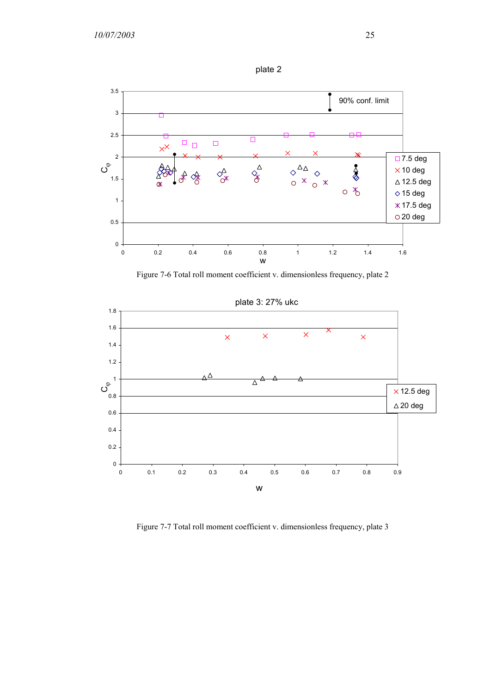



Figure 7-6 Total roll moment coefficient v. dimensionless frequency, plate 2



Figure 7-7 Total roll moment coefficient v. dimensionless frequency, plate 3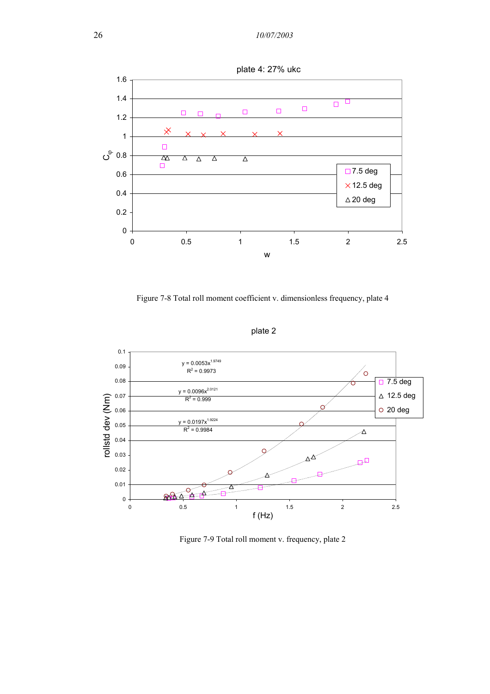

Figure 7-8 Total roll moment coefficient v. dimensionless frequency, plate 4





Figure 7-9 Total roll moment v. frequency, plate 2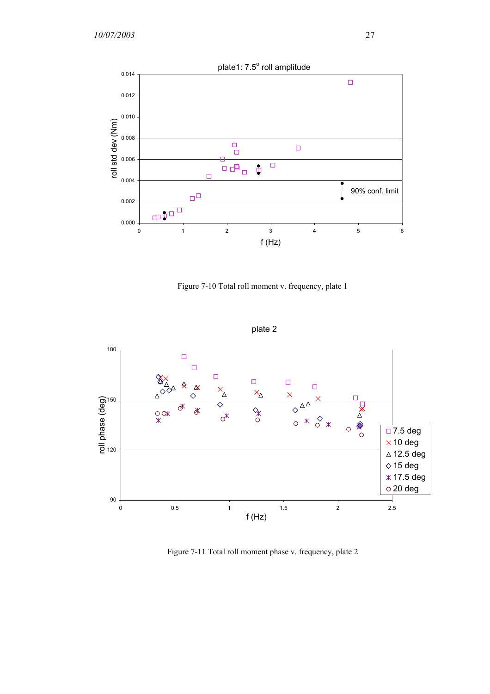

Figure 7-10 Total roll moment v. frequency, plate 1



plate 2

Figure 7-11 Total roll moment phase v. frequency, plate 2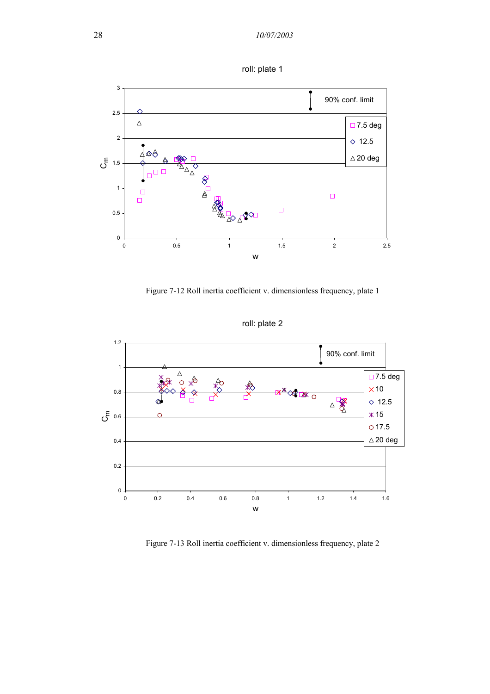



Figure 7-12 Roll inertia coefficient v. dimensionless frequency, plate 1



roll: plate 2

Figure 7-13 Roll inertia coefficient v. dimensionless frequency, plate 2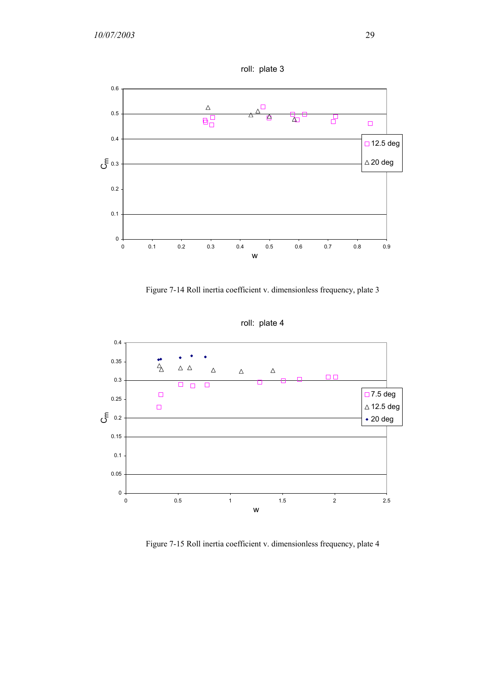

Figure 7-14 Roll inertia coefficient v. dimensionless frequency, plate 3



roll: plate 4

Figure 7-15 Roll inertia coefficient v. dimensionless frequency, plate 4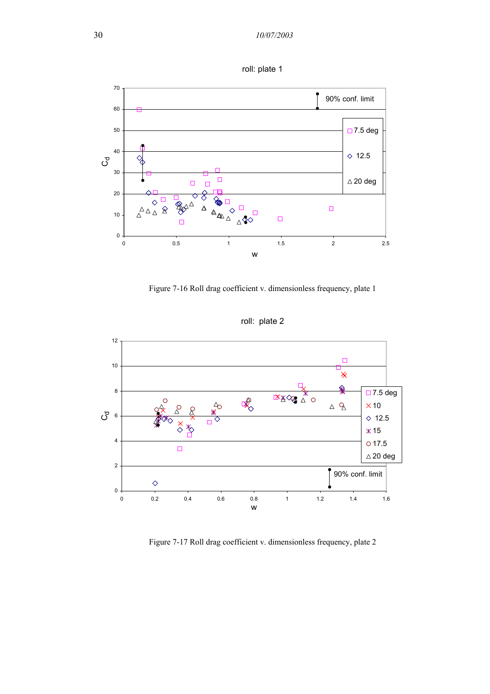



Figure 7-16 Roll drag coefficient v. dimensionless frequency, plate 1



roll: plate 2

Figure 7-17 Roll drag coefficient v. dimensionless frequency, plate 2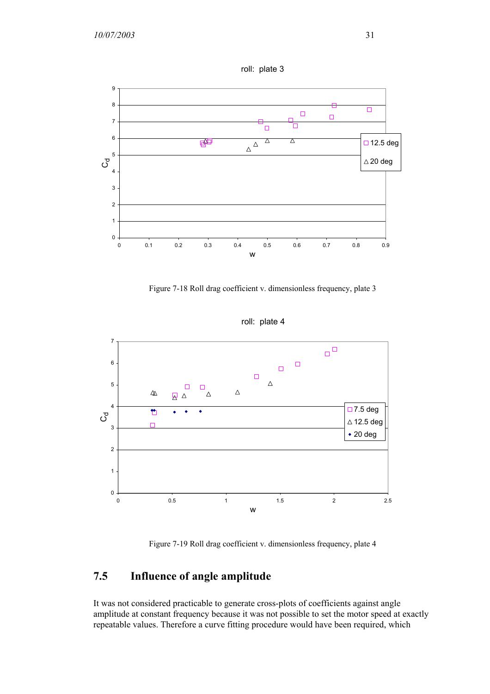

roll: plate 3

Figure 7-18 Roll drag coefficient v. dimensionless frequency, plate 3



roll: plate 4

Figure 7-19 Roll drag coefficient v. dimensionless frequency, plate 4

# **7.5 Influence of angle amplitude**

It was not considered practicable to generate cross-plots of coefficients against angle amplitude at constant frequency because it was not possible to set the motor speed at exactly repeatable values. Therefore a curve fitting procedure would have been required, which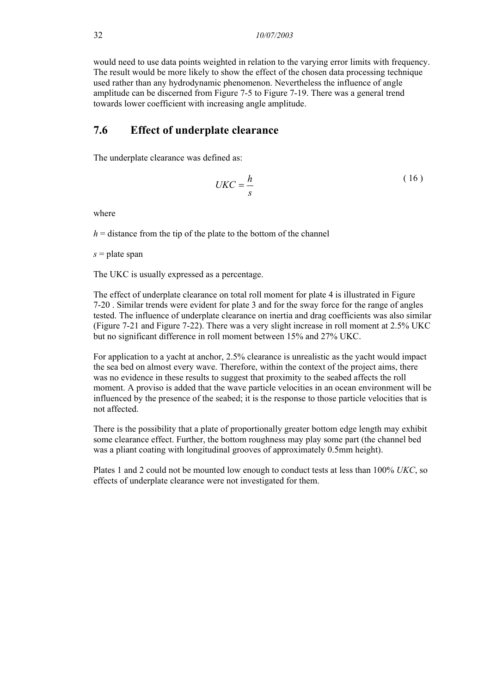would need to use data points weighted in relation to the varying error limits with frequency. The result would be more likely to show the effect of the chosen data processing technique used rather than any hydrodynamic phenomenon. Nevertheless the influence of angle amplitude can be discerned from Figure 7-5 to Figure 7-19. There was a general trend towards lower coefficient with increasing angle amplitude.

#### **7.6 Effect of underplate clearance**

The underplate clearance was defined as:

$$
UKC = \frac{h}{s} \tag{16}
$$

where

 $h =$  distance from the tip of the plate to the bottom of the channel

*s* = plate span

The UKC is usually expressed as a percentage.

The effect of underplate clearance on total roll moment for plate 4 is illustrated in Figure 7-20 . Similar trends were evident for plate 3 and for the sway force for the range of angles tested. The influence of underplate clearance on inertia and drag coefficients was also similar (Figure 7-21 and Figure 7-22). There was a very slight increase in roll moment at 2.5% UKC but no significant difference in roll moment between 15% and 27% UKC.

For application to a yacht at anchor, 2.5% clearance is unrealistic as the yacht would impact the sea bed on almost every wave. Therefore, within the context of the project aims, there was no evidence in these results to suggest that proximity to the seabed affects the roll moment. A proviso is added that the wave particle velocities in an ocean environment will be influenced by the presence of the seabed; it is the response to those particle velocities that is not affected.

There is the possibility that a plate of proportionally greater bottom edge length may exhibit some clearance effect. Further, the bottom roughness may play some part (the channel bed was a pliant coating with longitudinal grooves of approximately 0.5mm height).

Plates 1 and 2 could not be mounted low enough to conduct tests at less than 100% *UKC*, so effects of underplate clearance were not investigated for them.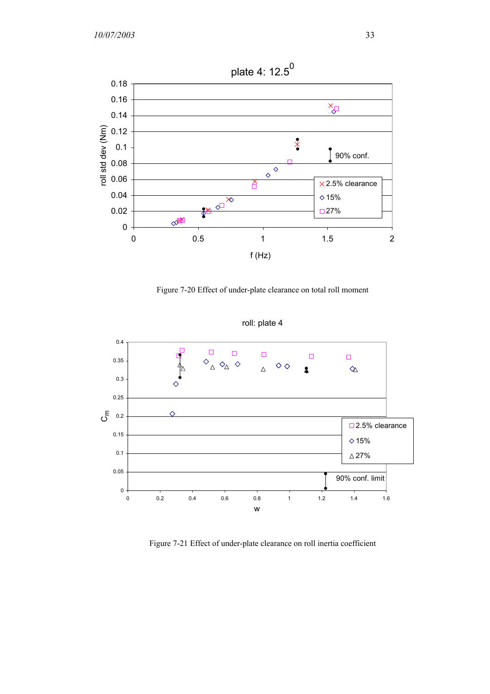

Figure 7-20 Effect of under-plate clearance on total roll moment



roll: plate 4

Figure 7-21 Effect of under-plate clearance on roll inertia coefficient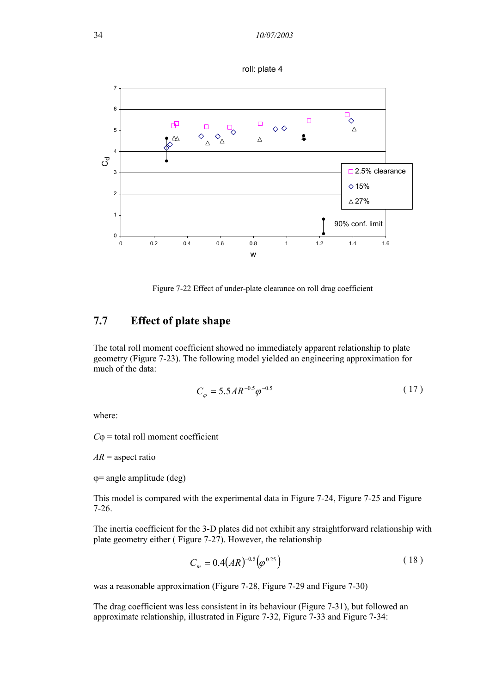



Figure 7-22 Effect of under-plate clearance on roll drag coefficient

## **7.7 Effect of plate shape**

The total roll moment coefficient showed no immediately apparent relationship to plate geometry (Figure 7-23). The following model yielded an engineering approximation for much of the data:

$$
C_{\varphi} = 5.5AR^{-0.5}\varphi^{-0.5}
$$
 (17)

where:

 $C\varphi$  = total roll moment coefficient

 $AR$  = aspect ratio

 $\varphi$ = angle amplitude (deg)

This model is compared with the experimental data in Figure 7-24, Figure 7-25 and Figure 7-26.

The inertia coefficient for the 3-D plates did not exhibit any straightforward relationship with plate geometry either ( Figure 7-27). However, the relationship

$$
C_m = 0.4(AR)^{-0.5} \left( \varphi^{0.25} \right) \tag{18}
$$

was a reasonable approximation (Figure 7-28, Figure 7-29 and Figure 7-30)

The drag coefficient was less consistent in its behaviour (Figure 7-31), but followed an approximate relationship, illustrated in Figure 7-32, Figure 7-33 and Figure 7-34: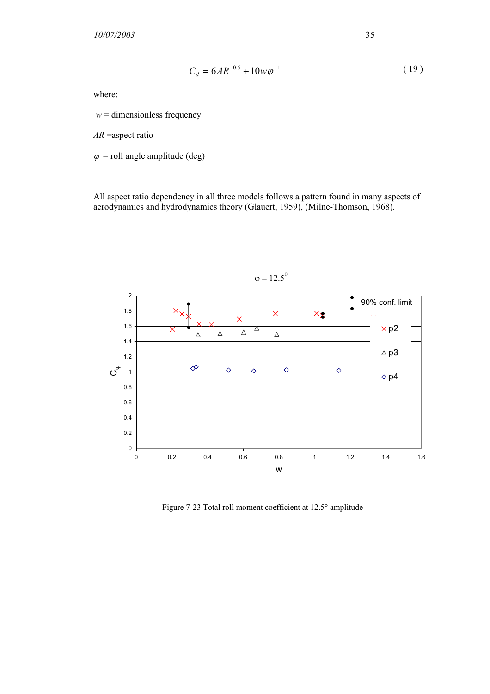$$
C_d = 6AR^{-0.5} + 10w\varphi^{-1}
$$
 (19)

where:

 $w =$  dimensionless frequency

*AR* =aspect ratio

 $\varphi$  = roll angle amplitude (deg)

All aspect ratio dependency in all three models follows a pattern found in many aspects of aerodynamics and hydrodynamics theory (Glauert, 1959), (Milne-Thomson, 1968).



Figure 7-23 Total roll moment coefficient at 12.5° amplitude

 $\varphi = 12.5^0$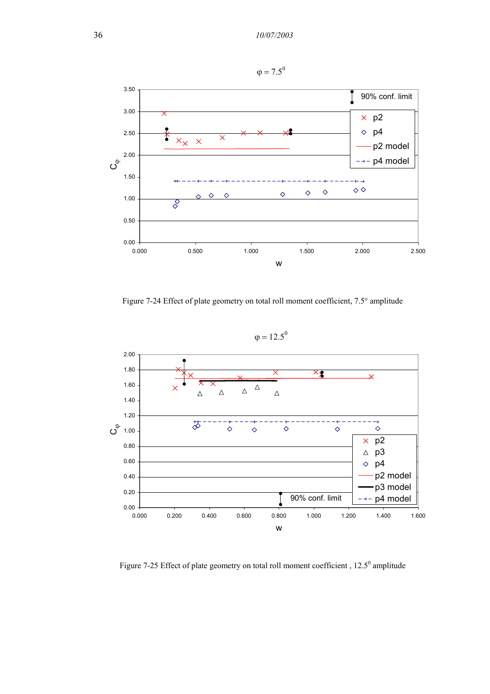

Figure 7-24 Effect of plate geometry on total roll moment coefficient, 7.5° amplitude

 $\varphi = 12.5^0$ 



Figure 7-25 Effect of plate geometry on total roll moment coefficient,  $12.5^{\circ}$  amplitude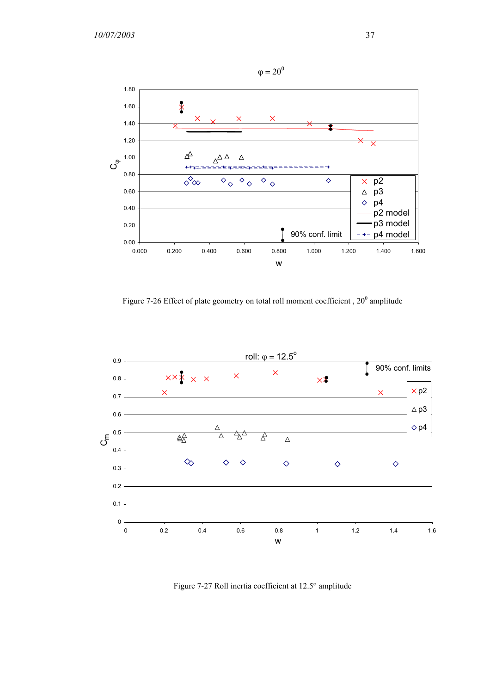

Figure 7-26 Effect of plate geometry on total roll moment coefficient,  $20^{\circ}$  amplitude



Figure 7-27 Roll inertia coefficient at 12.5° amplitude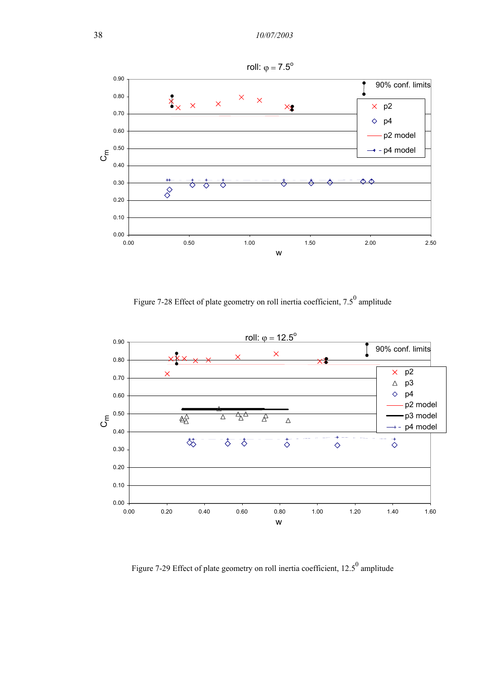

Figure 7-28 Effect of plate geometry on roll inertia coefficient, 7.5<sup>0</sup> amplitude



Figure 7-29 Effect of plate geometry on roll inertia coefficient,  $12.5^{\circ}$  amplitude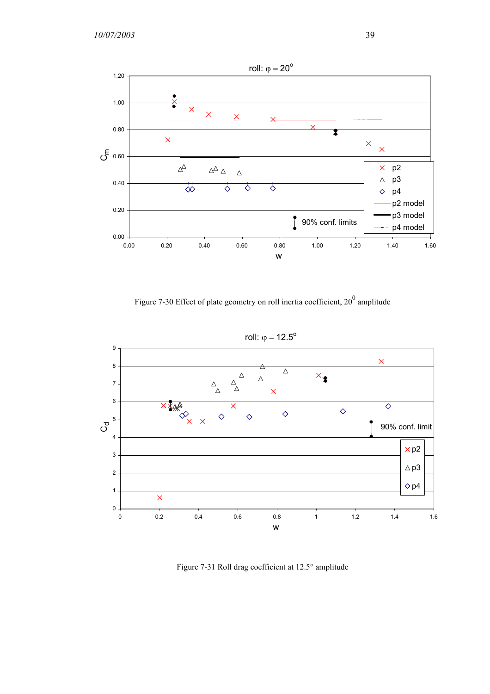*10/07/2003* 39



Figure 7-30 Effect of plate geometry on roll inertia coefficient,  $20^0$  amplitude



Figure 7-31 Roll drag coefficient at 12.5° amplitude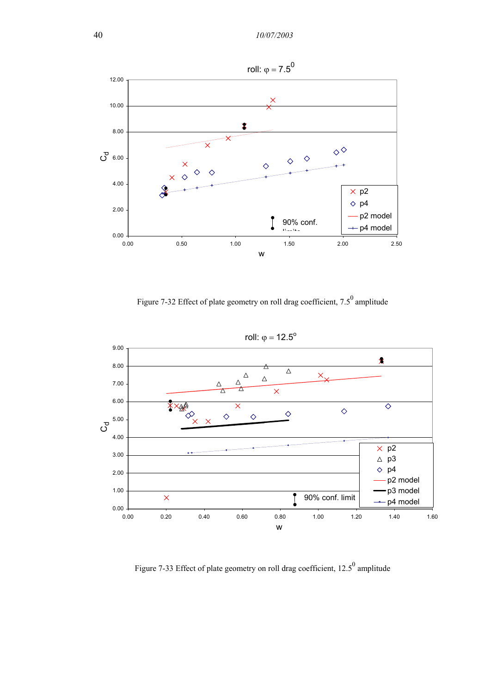

Figure 7-32 Effect of plate geometry on roll drag coefficient,  $7.5^{\circ}$  amplitude



Figure 7-33 Effect of plate geometry on roll drag coefficient,  $12.5^{\circ}$  amplitude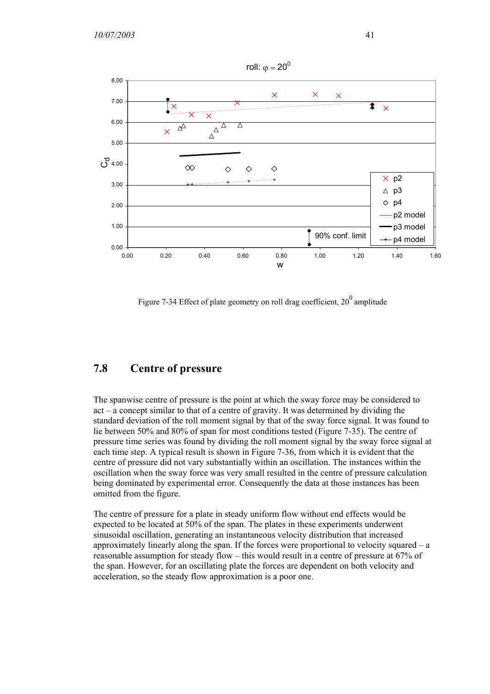

Figure 7-34 Effect of plate geometry on roll drag coefficient,  $20^0$  amplitude

### **7.8 Centre of pressure**

The spanwise centre of pressure is the point at which the sway force may be considered to act – a concept similar to that of a centre of gravity. It was determined by dividing the standard deviation of the roll moment signal by that of the sway force signal. It was found to lie between 50% and 80% of span for most conditions tested (Figure 7-35). The centre of pressure time series was found by dividing the roll moment signal by the sway force signal at each time step. A typical result is shown in Figure 7-36, from which it is evident that the centre of pressure did not vary substantially within an oscillation. The instances within the oscillation when the sway force was very small resulted in the centre of pressure calculation being dominated by experimental error. Consequently the data at those instances has been omitted from the figure.

The centre of pressure for a plate in steady uniform flow without end effects would be expected to be located at 50% of the span. The plates in these experiments underwent sinusoidal oscillation, generating an instantaneous velocity distribution that increased approximately linearly along the span. If the forces were proportional to velocity squared – a reasonable assumption for steady flow – this would result in a centre of pressure at 67% of the span. However, for an oscillating plate the forces are dependent on both velocity and acceleration, so the steady flow approximation is a poor one.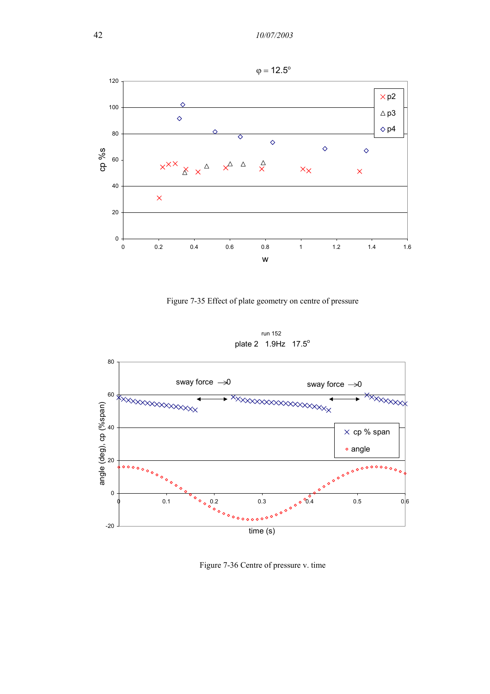

Figure 7-35 Effect of plate geometry on centre of pressure

run 152 plate 2 1.9Hz 17.5<sup>o</sup>



Figure 7-36 Centre of pressure v. time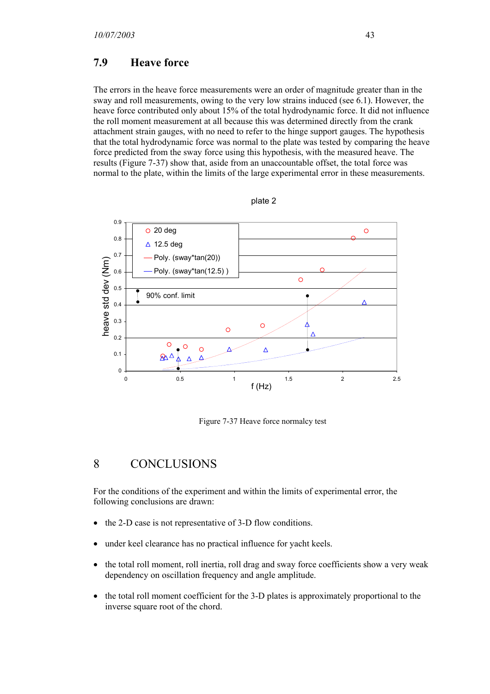#### **7.9 Heave force**

The errors in the heave force measurements were an order of magnitude greater than in the sway and roll measurements, owing to the very low strains induced (see 6.1). However, the heave force contributed only about 15% of the total hydrodynamic force. It did not influence the roll moment measurement at all because this was determined directly from the crank attachment strain gauges, with no need to refer to the hinge support gauges. The hypothesis that the total hydrodynamic force was normal to the plate was tested by comparing the heave force predicted from the sway force using this hypothesis, with the measured heave. The results (Figure 7-37) show that, aside from an unaccountable offset, the total force was normal to the plate, within the limits of the large experimental error in these measurements.



plate 2

Figure 7-37 Heave force normalcy test

# 8 CONCLUSIONS

For the conditions of the experiment and within the limits of experimental error, the following conclusions are drawn:

- the 2-D case is not representative of 3-D flow conditions.
- under keel clearance has no practical influence for yacht keels.
- the total roll moment, roll inertia, roll drag and sway force coefficients show a very weak dependency on oscillation frequency and angle amplitude.
- the total roll moment coefficient for the 3-D plates is approximately proportional to the inverse square root of the chord.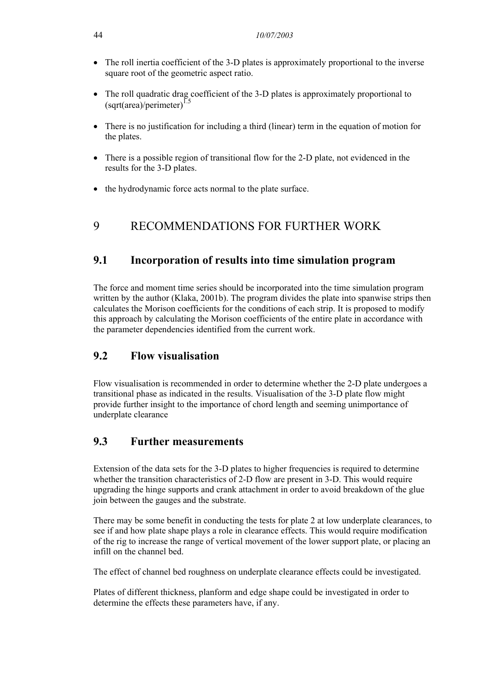- The roll inertia coefficient of the 3-D plates is approximately proportional to the inverse square root of the geometric aspect ratio.
- The roll quadratic drag coefficient of the 3-D plates is approximately proportional to  $(sqrt(area)/perimeter)^{1.5}$
- There is no justification for including a third (linear) term in the equation of motion for the plates.
- There is a possible region of transitional flow for the 2-D plate, not evidenced in the results for the 3-D plates.
- the hydrodynamic force acts normal to the plate surface.

# 9 RECOMMENDATIONS FOR FURTHER WORK

### **9.1 Incorporation of results into time simulation program**

The force and moment time series should be incorporated into the time simulation program written by the author (Klaka, 2001b). The program divides the plate into spanwise strips then calculates the Morison coefficients for the conditions of each strip. It is proposed to modify this approach by calculating the Morison coefficients of the entire plate in accordance with the parameter dependencies identified from the current work.

# **9.2 Flow visualisation**

Flow visualisation is recommended in order to determine whether the 2-D plate undergoes a transitional phase as indicated in the results. Visualisation of the 3-D plate flow might provide further insight to the importance of chord length and seeming unimportance of underplate clearance

### **9.3 Further measurements**

Extension of the data sets for the 3-D plates to higher frequencies is required to determine whether the transition characteristics of 2-D flow are present in 3-D. This would require upgrading the hinge supports and crank attachment in order to avoid breakdown of the glue join between the gauges and the substrate.

There may be some benefit in conducting the tests for plate 2 at low underplate clearances, to see if and how plate shape plays a role in clearance effects. This would require modification of the rig to increase the range of vertical movement of the lower support plate, or placing an infill on the channel bed.

The effect of channel bed roughness on underplate clearance effects could be investigated.

Plates of different thickness, planform and edge shape could be investigated in order to determine the effects these parameters have, if any.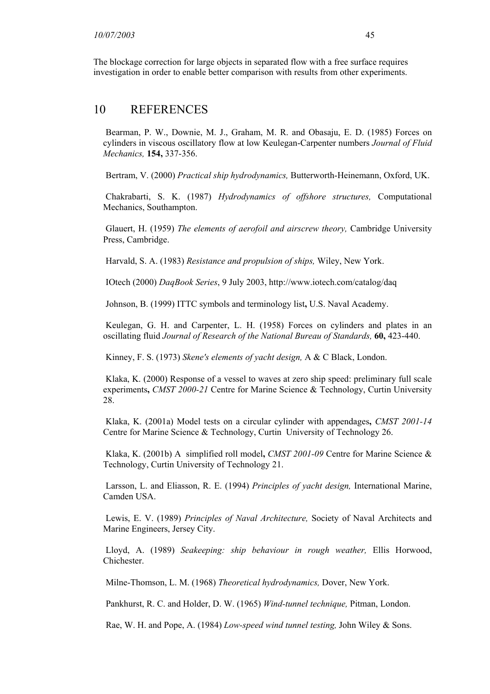The blockage correction for large objects in separated flow with a free surface requires investigation in order to enable better comparison with results from other experiments.

#### 10 REFERENCES

Bearman, P. W., Downie, M. J., Graham, M. R. and Obasaju, E. D. (1985) Forces on cylinders in viscous oscillatory flow at low Keulegan-Carpenter numbers *Journal of Fluid Mechanics,* **154,** 337-356.

Bertram, V. (2000) *Practical ship hydrodynamics,* Butterworth-Heinemann, Oxford, UK.

Chakrabarti, S. K. (1987) *Hydrodynamics of offshore structures,* Computational Mechanics, Southampton.

Glauert, H. (1959) *The elements of aerofoil and airscrew theory,* Cambridge University Press, Cambridge.

Harvald, S. A. (1983) *Resistance and propulsion of ships,* Wiley, New York.

IOtech (2000) *DaqBook Series*, 9 July 2003, http://www.iotech.com/catalog/daq

Johnson, B. (1999) ITTC symbols and terminology list**,** U.S. Naval Academy.

Keulegan, G. H. and Carpenter, L. H. (1958) Forces on cylinders and plates in an oscillating fluid *Journal of Research of the National Bureau of Standards,* **60,** 423-440.

Kinney, F. S. (1973) *Skene's elements of yacht design,* A & C Black, London.

Klaka, K. (2000) Response of a vessel to waves at zero ship speed: preliminary full scale experiments**,** *CMST 2000-21* Centre for Marine Science & Technology, Curtin University 28.

Klaka, K. (2001a) Model tests on a circular cylinder with appendages**,** *CMST 2001-14*  Centre for Marine Science & Technology, Curtin University of Technology 26.

Klaka, K. (2001b) A simplified roll model**,** *CMST 2001-09* Centre for Marine Science & Technology, Curtin University of Technology 21.

Larsson, L. and Eliasson, R. E. (1994) *Principles of yacht design,* International Marine, Camden USA.

Lewis, E. V. (1989) *Principles of Naval Architecture,* Society of Naval Architects and Marine Engineers, Jersey City.

Lloyd, A. (1989) *Seakeeping: ship behaviour in rough weather,* Ellis Horwood, Chichester.

Milne-Thomson, L. M. (1968) *Theoretical hydrodynamics,* Dover, New York.

Pankhurst, R. C. and Holder, D. W. (1965) *Wind-tunnel technique,* Pitman, London.

Rae, W. H. and Pope, A. (1984) *Low-speed wind tunnel testing,* John Wiley & Sons.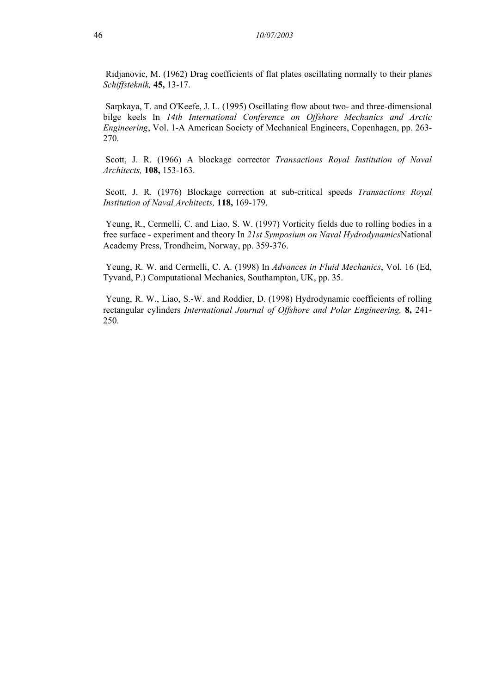Ridjanovic, M. (1962) Drag coefficients of flat plates oscillating normally to their planes *Schiffsteknik,* **45,** 13-17.

Sarpkaya, T. and O'Keefe, J. L. (1995) Oscillating flow about two- and three-dimensional bilge keels In *14th International Conference on Offshore Mechanics and Arctic Engineering*, Vol. 1-A American Society of Mechanical Engineers, Copenhagen, pp. 263- 270.

Scott, J. R. (1966) A blockage corrector *Transactions Royal Institution of Naval Architects,* **108,** 153-163.

Scott, J. R. (1976) Blockage correction at sub-critical speeds *Transactions Royal Institution of Naval Architects,* **118,** 169-179.

Yeung, R., Cermelli, C. and Liao, S. W. (1997) Vorticity fields due to rolling bodies in a free surface - experiment and theory In *21st Symposium on Naval Hydrodynamics*National Academy Press, Trondheim, Norway, pp. 359-376.

Yeung, R. W. and Cermelli, C. A. (1998) In *Advances in Fluid Mechanics*, Vol. 16 (Ed, Tyvand, P.) Computational Mechanics, Southampton, UK, pp. 35.

Yeung, R. W., Liao, S.-W. and Roddier, D. (1998) Hydrodynamic coefficients of rolling rectangular cylinders *International Journal of Offshore and Polar Engineering,* **8,** 241- 250.